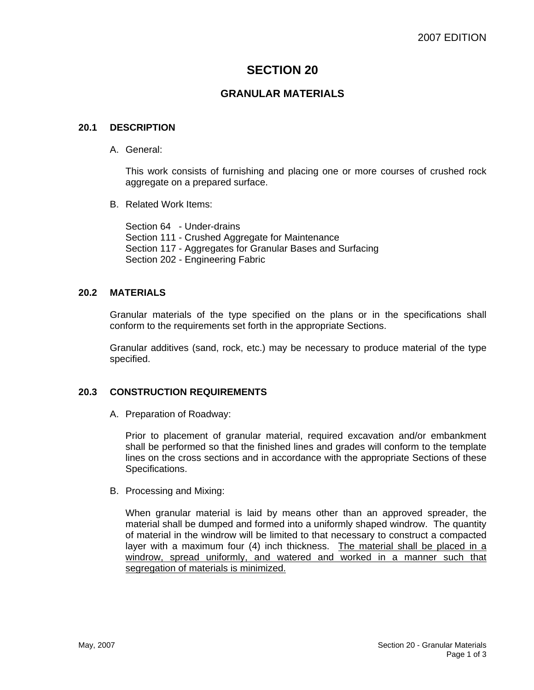# **SECTION 20**

# **GRANULAR MATERIALS**

### **20.1 DESCRIPTION**

A. General:

This work consists of furnishing and placing one or more courses of crushed rock aggregate on a prepared surface.

B. Related Work Items:

Section 64 - Under-drains Section 111 - Crushed Aggregate for Maintenance Section 117 - Aggregates for Granular Bases and Surfacing Section 202 - Engineering Fabric

## **20.2 MATERIALS**

Granular materials of the type specified on the plans or in the specifications shall conform to the requirements set forth in the appropriate Sections.

Granular additives (sand, rock, etc.) may be necessary to produce material of the type specified.

# **20.3 CONSTRUCTION REQUIREMENTS**

A. Preparation of Roadway:

Prior to placement of granular material, required excavation and/or embankment shall be performed so that the finished lines and grades will conform to the template lines on the cross sections and in accordance with the appropriate Sections of these Specifications.

B. Processing and Mixing:

When granular material is laid by means other than an approved spreader, the material shall be dumped and formed into a uniformly shaped windrow. The quantity of material in the windrow will be limited to that necessary to construct a compacted layer with a maximum four (4) inch thickness. The material shall be placed in a windrow, spread uniformly, and watered and worked in a manner such that segregation of materials is minimized.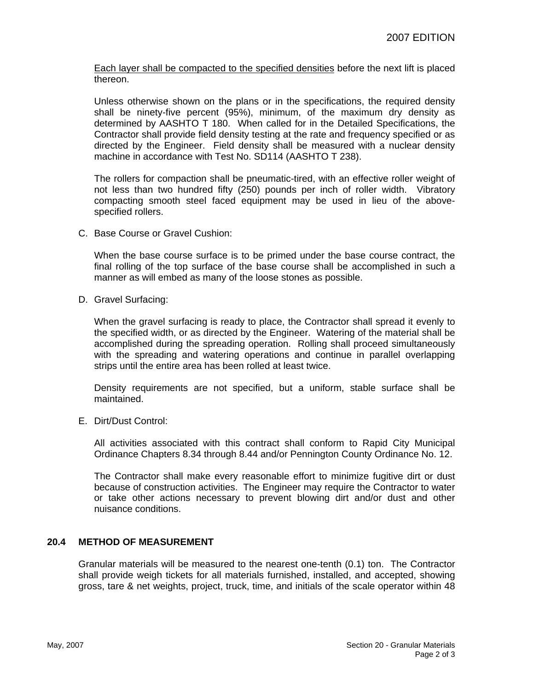Each layer shall be compacted to the specified densities before the next lift is placed thereon.

Unless otherwise shown on the plans or in the specifications, the required density shall be ninety-five percent (95%), minimum, of the maximum dry density as determined by AASHTO T 180. When called for in the Detailed Specifications, the Contractor shall provide field density testing at the rate and frequency specified or as directed by the Engineer. Field density shall be measured with a nuclear density machine in accordance with Test No. SD114 (AASHTO T 238).

The rollers for compaction shall be pneumatic-tired, with an effective roller weight of not less than two hundred fifty (250) pounds per inch of roller width. Vibratory compacting smooth steel faced equipment may be used in lieu of the abovespecified rollers.

C. Base Course or Gravel Cushion:

When the base course surface is to be primed under the base course contract, the final rolling of the top surface of the base course shall be accomplished in such a manner as will embed as many of the loose stones as possible.

D. Gravel Surfacing:

When the gravel surfacing is ready to place, the Contractor shall spread it evenly to the specified width, or as directed by the Engineer. Watering of the material shall be accomplished during the spreading operation. Rolling shall proceed simultaneously with the spreading and watering operations and continue in parallel overlapping strips until the entire area has been rolled at least twice.

Density requirements are not specified, but a uniform, stable surface shall be maintained.

E. Dirt/Dust Control:

All activities associated with this contract shall conform to Rapid City Municipal Ordinance Chapters 8.34 through 8.44 and/or Pennington County Ordinance No. 12.

The Contractor shall make every reasonable effort to minimize fugitive dirt or dust because of construction activities. The Engineer may require the Contractor to water or take other actions necessary to prevent blowing dirt and/or dust and other nuisance conditions.

### **20.4 METHOD OF MEASUREMENT**

Granular materials will be measured to the nearest one-tenth (0.1) ton. The Contractor shall provide weigh tickets for all materials furnished, installed, and accepted, showing gross, tare & net weights, project, truck, time, and initials of the scale operator within 48